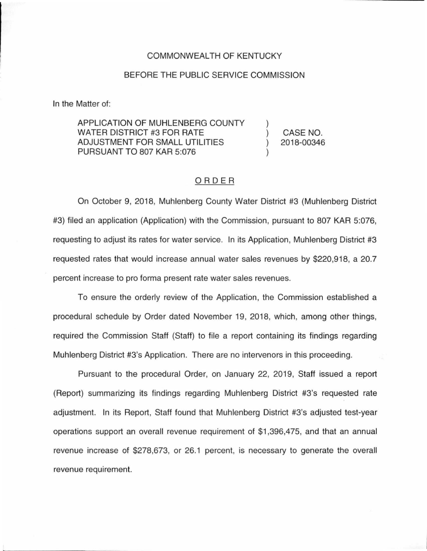#### COMMONWEALTH OF KENTUCKY

#### BEFORE THE PUBLIC SERVICE COMMISSION

In the Matter of:

APPLICATION OF MUHLENBERG COUNTY WATER DISTRICT #3 FOR RATE ADJUSTMENT FOR SMALL UTILITIES PURSUANT TO 807 KAR 5:076

) CASE NO. ) 2018-00346

)

)

## ORDER

On October 9, 2018, Muhlenberg County Water District #3 (Muhlenberg District #3) filed an application (Application) with the Commission, pursuant to 807 KAR 5:076, requesting to adjust its rates for water service. In its Application, Muhlenberg District #3 requested rates that would increase annual water sales revenues by \$220,918, a 20.7 percent increase to pro forma present rate water sales revenues.

To ensure the orderly review of the Application, the Commission established a procedural schedule by Order dated November 19, 2018, which, among other things, required the Commission Staff (Staff) to file a report containing its findings regarding Muhlenberg District #3's Application. There are no intervenors in this proceeding.

Pursuant to the procedural Order, on January 22, 2019, Staff issued a report (Report) summarizing its findings regarding Muhlenberg District #3's requested rate adjustment. In its Report, Staff found that Muhlenberg District #3's adjusted test-year operations support an overall revenue requirement of \$1 ,396,475, and that an annual revenue increase of \$278,673, or 26.1 percent, is necessary to generate the overall revenue requirement.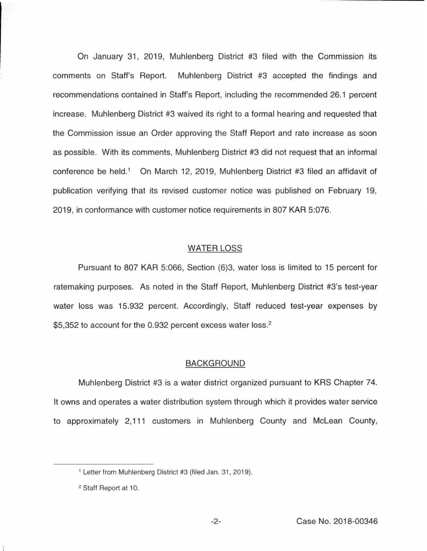On January 31, 2019, Muhlenberg District #3 filed with the Commission its comments on Staff's Report. Muhlenberg District #3 accepted the findings and recommendations contained in Staff's Report, including the recommended 26.1 percent increase. Muhlenberg District #3 waived its right to a formal hearing and requested that the Commission issue an Order approving the Staff Report and rate increase as soon as possible. With its comments, Muhlenberg District #3 did not request that an informal conference be held.<sup>1</sup> On March 12, 2019, Muhlenberg District #3 filed an affidavit of publication verifying that its revised customer notice was published on February 19, 2019, in conformance with customer notice requirements in 807 KAR 5:076.

### WATER LOSS

Pursuant to 807 KAR 5:066, Section (6)3, water loss is limited to 15 percent for ratemaking purposes. As noted in the Staff Report, Muhlenberg District #3's test-year water loss was 15.932 percent. Accordingly, Staff reduced test-year expenses by \$5,352 to account for the 0.932 percent excess water loss.<sup>2</sup>

### BACKGROUND

Muhlenberg District #3 is a water district organized pursuant to KRS Chapter 74. It owns and operates a water distribution system through which it provides water service to approximately 2, 111 customers in Muhlenberg County and Mclean County,

<sup>1</sup>Letter from Muhlenberg District #3 (filed Jan. 31, 2019).

<sup>2</sup> Staff Report at 10.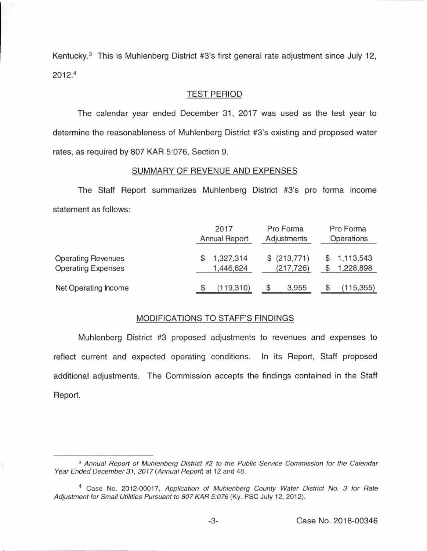Kentucky.<sup>3</sup> This is Muhlenberg District #3's first general rate adjustment since July 12, 2012. 4

## TEST PERIOD

The calendar year ended December 31, 2017 was used as the test year to determine the reasonableness of Muhlenberg District #3's existing and proposed water rates, as required by 807 KAR 5:076, Section 9.

# SUMMARY OF REVENUE AND EXPENSES

The Staff Report summarizes Muhlenberg District #3's pro forma income statement as follows:

|                                                        | 2017<br>Annual Report |                        | Pro Forma<br>Adjustments |                            | Pro Forma<br>Operations |                        |
|--------------------------------------------------------|-----------------------|------------------------|--------------------------|----------------------------|-------------------------|------------------------|
| <b>Operating Revenues</b><br><b>Operating Expenses</b> |                       | 1,327,314<br>1,446,624 |                          | \$ (213,771)<br>(217, 726) |                         | 1,113,543<br>1,228,898 |
| Net Operating Income                                   |                       | (119,310)              | S                        | 3,955                      |                         | (115, 355)             |

## MODIFICATIONS TO STAFF'S FINDINGS

Muhlenberg District #3 proposed adjustments to revenues and expenses to reflect current and expected operating conditions. In its Report, Staff proposed additional adjustments. The Commission accepts the findings contained in the Staff Report.

<sup>&</sup>lt;sup>3</sup> Annual Report of Muhlenberg District #3 to the Public Service Commission for the Calendar Year Ended December 31, 2017 (Annual Report) at 12 and 48.

<sup>&</sup>lt;sup>4</sup> Case No. 2012-00017, Application of Muhlenberg County Water District No. 3 for Rate Adjustment for Small Utilities Pursuant to 807 KAR 5:076 (Ky. PSC July 12, 2012).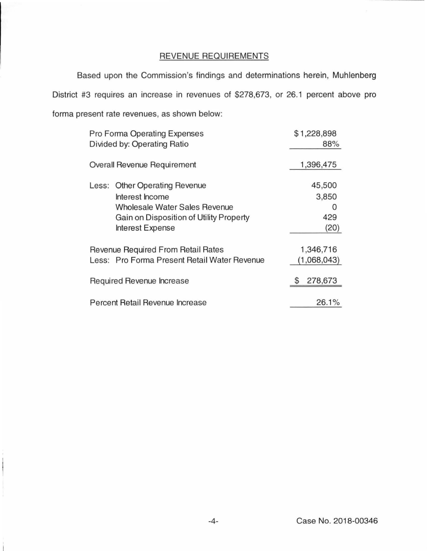# REVENUE REQUIREMENTS

Based upon the Commission's findings and determinations herein, Muhlenberg District #3 requires an increase in revenues of \$278,673, or 26.1 percent above pro forma present rate revenues, as shown below:

| Pro Forma Operating Expenses       |                                              | \$1,228,898 |
|------------------------------------|----------------------------------------------|-------------|
|                                    | Divided by: Operating Ratio                  | 88%         |
|                                    | Overall Revenue Requirement                  | 1,396,475   |
|                                    | Less: Other Operating Revenue                | 45,500      |
|                                    | Interest Income                              | 3,850       |
|                                    | Wholesale Water Sales Revenue                | O           |
|                                    | Gain on Disposition of Utility Property      | 429         |
|                                    | <b>Interest Expense</b>                      | (20)        |
| Revenue Required From Retail Rates |                                              | 1,346,716   |
|                                    | Less: Pro Forma Present Retail Water Revenue | (1,068,043) |
|                                    | Required Revenue Increase                    | 278,673     |
|                                    | Percent Retail Revenue Increase              | 26.1%       |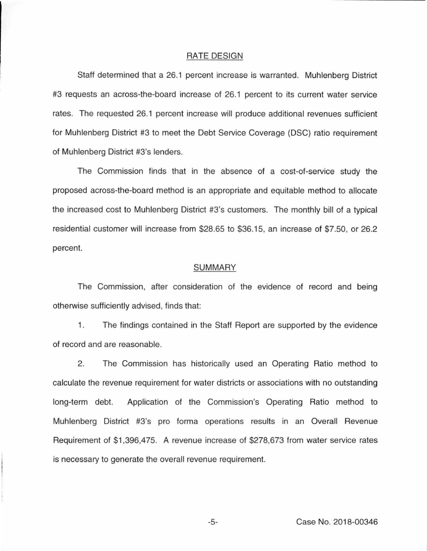## RATE DESIGN

Staff determined that a 26.1 percent increase is warranted. Muhlenberg District #3 requests an across-the-board increase of 26.1 percent to its current water service rates. The requested 26.1 percent increase will produce additional revenues sufficient for Muhlenberg District #3 to meet the Debt Service Coverage (DSC) ratio requirement of Muhlenberg District #3's lenders.

The Commission finds that in the absence of a cost-of-service study the proposed across-the-board method is an appropriate and equitable method to allocate the increased cost to Muhlenberg District #3's customers. The monthly bill of a typical residential customer will increase from \$28.65 to \$36.15, an increase of \$7.50, or 26.2 percent.

## SUMMARY

The Commission, after consideration of the evidence of record and being otherwise sufficiently advised, finds that:

1. The findings contained in the Staff Report are supported by the evidence of record and are reasonable.

2. The Commission has historically used an Operating Ratio method to calculate the revenue requirement for water districts or associations with no outstanding long-term debt. Application of the Commission's Operating Ratio method to Muhlenberg District #3's pro forma operations results in an Overall Revenue Requirement of \$1,396,475. A revenue increase of \$278,673 from water service rates is necessary to generate the overall revenue requirement.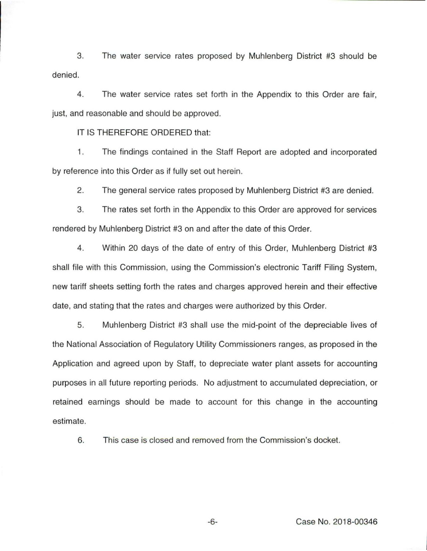3. The water service rates proposed by Muhlenberg District #3 should be denied.

4. The water service rates set forth in the Appendix to this Order are fair, just, and reasonable and should be approved.

IT IS THEREFORE ORDERED that:

1. The findings contained in the Staff Report are adopted and incorporated by reference into this Order as if fully set out herein.

2. The general service rates proposed by Muhlenberg District #3 are denied.

3. The rates set forth in the Appendix to this Order are approved for services rendered by Muhlenberg District #3 on and after the date of this Order.

4. Within 20 days of the date of entry of this Order, Muhlenberg District #3 shall file with this Commission, using the Commission's electronic Tariff Filing System, new tariff sheets setting forth the rates and charges approved herein and their effective date, and stating that the rates and charges were authorized by this Order.

5. Muhlenberg District #3 shall use the mid-point of the depreciable lives of the National Association of Regulatory Utility Commissioners ranges, as proposed in the Application and agreed upon by Staff, to depreciate water plant assets for accounting purposes in all future reporting periods. No adjustment to accumulated depreciation, or retained earnings should be made to account for this change in the accounting estimate.

6. This case is closed and removed from the Commission's docket.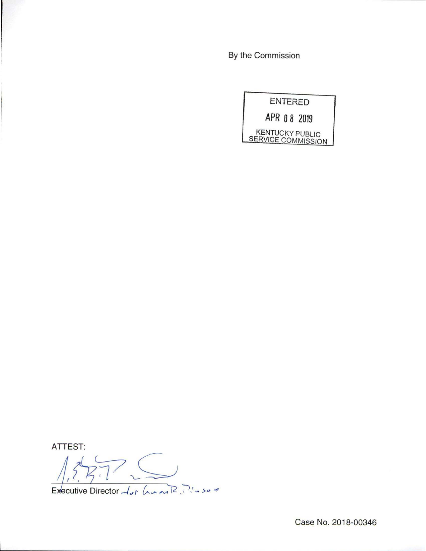By the Commission



ATTEST:

 $\frac{1}{1}, \frac{1}{2}, \frac{1}{2}$  .  $\frac{1}{2}$  . Let  $\frac{1}{2}$   $\frac{1}{2}$  .  $\frac{1}{2}$  .  $\frac{1}{2}$   $\frac{1}{2}$   $\frac{1}{2}$   $\frac{1}{2}$   $\frac{1}{2}$   $\frac{1}{2}$   $\frac{1}{2}$   $\frac{1}{2}$   $\frac{1}{2}$   $\frac{1}{2}$   $\frac{1}{2}$   $\frac{1}{2}$   $\frac{1}{2}$   $\frac{1}{2}$   $\frac{1$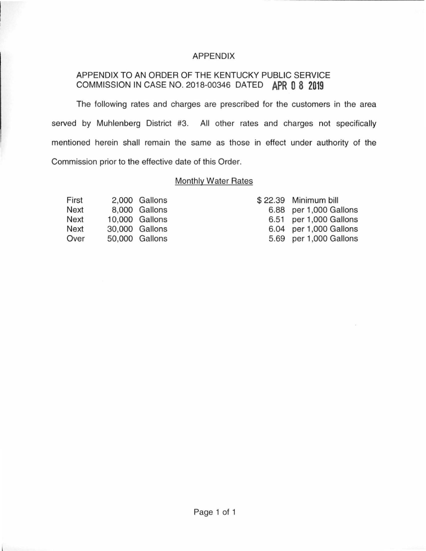## APPENDIX

# APPENDIX TO AN ORDER OF THE KENTUCKY PUBLIC SERVICE COMMISSION IN CASE NO. 2018-00346 DATED **APR 0 8 2019**

The following rates and charges are prescribed for the customers in the area served by Muhlenberg District #3. All other rates and charges not specifically mentioned herein shall remain the same as those in effect under authority of the Commission prior to the effective date of this Order.

## Monthly Water Rates

| First       | 2,000 Gallons  |
|-------------|----------------|
| <b>Next</b> | 8.000 Gallons  |
| <b>Next</b> | 10.000 Gallons |
| Next        | 30,000 Gallons |
| Over        | 50,000 Gallons |

|      | \$22.39 Minimum bill |
|------|----------------------|
| 6.88 | per 1,000 Gallons    |
| 6.51 | per 1,000 Gallons    |
| 6.04 | per 1,000 Gallons    |
| 5.69 | per 1,000 Gallons    |